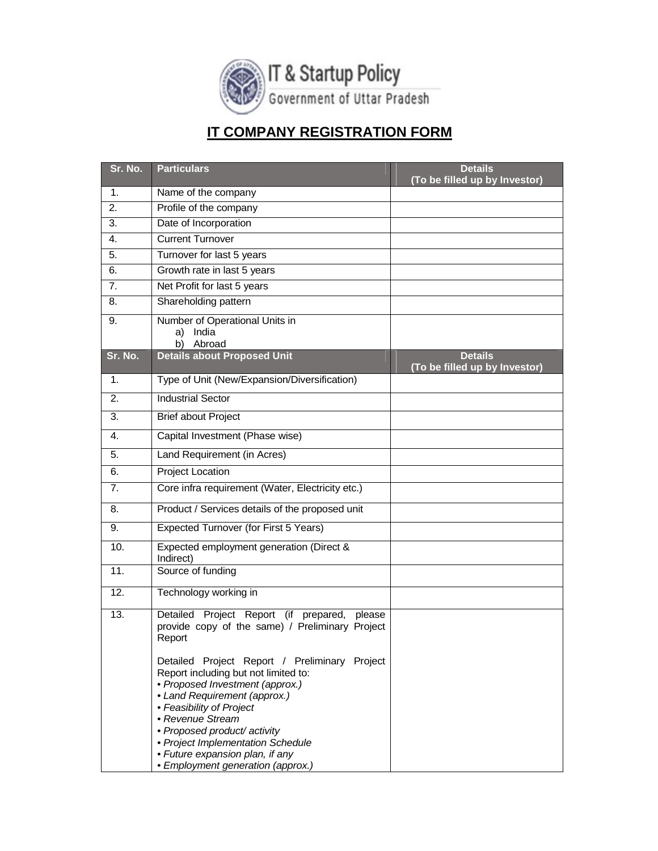

## **IT COMPANY REGISTRATION FORM**

| Sr. No.          | <b>Particulars</b>                                                                                                                                                                                                                                                                                                                                    | <b>Details</b><br>(To be filled up by Investor) |
|------------------|-------------------------------------------------------------------------------------------------------------------------------------------------------------------------------------------------------------------------------------------------------------------------------------------------------------------------------------------------------|-------------------------------------------------|
| 1.               | Name of the company                                                                                                                                                                                                                                                                                                                                   |                                                 |
| 2.               | Profile of the company                                                                                                                                                                                                                                                                                                                                |                                                 |
| $\overline{3}$ . | Date of Incorporation                                                                                                                                                                                                                                                                                                                                 |                                                 |
| 4.               | <b>Current Turnover</b>                                                                                                                                                                                                                                                                                                                               |                                                 |
| 5.               | Turnover for last 5 years                                                                                                                                                                                                                                                                                                                             |                                                 |
| 6.               | Growth rate in last 5 years                                                                                                                                                                                                                                                                                                                           |                                                 |
| 7.               | Net Profit for last 5 years                                                                                                                                                                                                                                                                                                                           |                                                 |
| 8.               | Shareholding pattern                                                                                                                                                                                                                                                                                                                                  |                                                 |
| 9.               | Number of Operational Units in<br>India<br>a)<br>Abroad<br>b)                                                                                                                                                                                                                                                                                         |                                                 |
| Sr. No.          | <b>Details about Proposed Unit</b>                                                                                                                                                                                                                                                                                                                    | <b>Details</b><br>(To be filled up by Investor) |
| 1.               | Type of Unit (New/Expansion/Diversification)                                                                                                                                                                                                                                                                                                          |                                                 |
| 2.               | <b>Industrial Sector</b>                                                                                                                                                                                                                                                                                                                              |                                                 |
| 3.               | <b>Brief about Project</b>                                                                                                                                                                                                                                                                                                                            |                                                 |
| 4.               | Capital Investment (Phase wise)                                                                                                                                                                                                                                                                                                                       |                                                 |
| 5.               | Land Requirement (in Acres)                                                                                                                                                                                                                                                                                                                           |                                                 |
| 6.               | <b>Project Location</b>                                                                                                                                                                                                                                                                                                                               |                                                 |
| 7.               | Core infra requirement (Water, Electricity etc.)                                                                                                                                                                                                                                                                                                      |                                                 |
| 8.               | Product / Services details of the proposed unit                                                                                                                                                                                                                                                                                                       |                                                 |
| 9.               | Expected Turnover (for First 5 Years)                                                                                                                                                                                                                                                                                                                 |                                                 |
| 10.              | Expected employment generation (Direct &<br>Indirect)                                                                                                                                                                                                                                                                                                 |                                                 |
| 11.              | Source of funding                                                                                                                                                                                                                                                                                                                                     |                                                 |
| 12.              | Technology working in                                                                                                                                                                                                                                                                                                                                 |                                                 |
| 13.              | Detailed Project Report (if<br>prepared,<br>please<br>provide copy of the same) / Preliminary Project<br>Report                                                                                                                                                                                                                                       |                                                 |
|                  | Detailed Project Report / Preliminary Project<br>Report including but not limited to:<br>• Proposed Investment (approx.)<br>• Land Requirement (approx.)<br>• Feasibility of Project<br>• Revenue Stream<br>• Proposed product/ activity<br>• Project Implementation Schedule<br>• Future expansion plan, if any<br>• Employment generation (approx.) |                                                 |